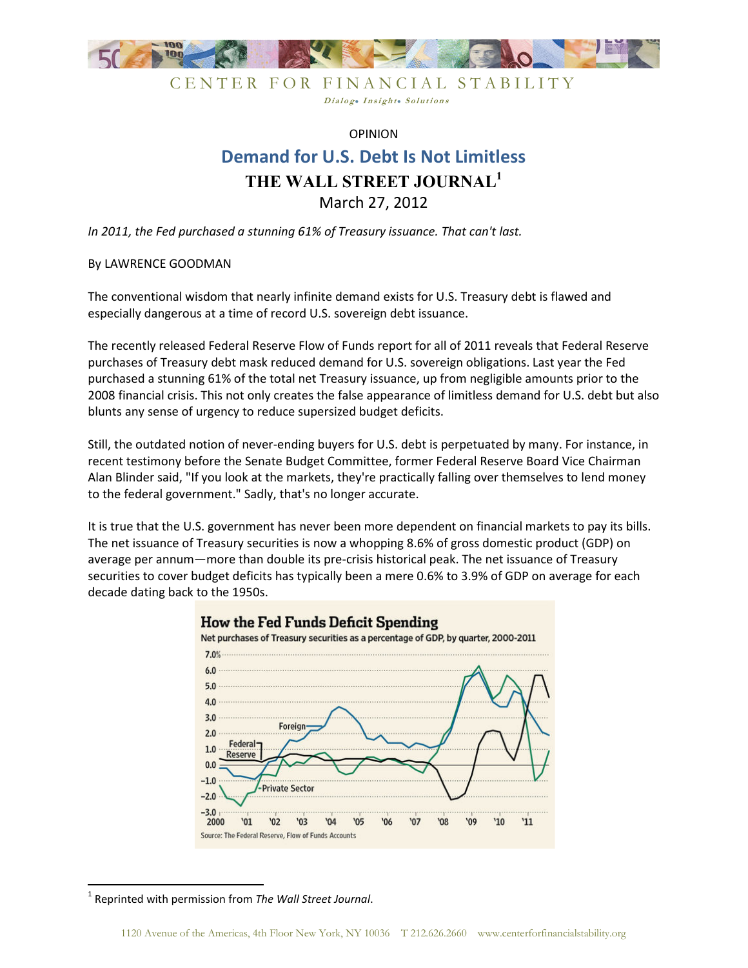

CENTER FOR FINANCIAL STABILITY Dialog. Insight. Solutions

## OPINION **Demand for U.S. Debt Is Not Limitless THE WALL STREET JOURNAL<sup>1</sup>** March 27, 2012

*In 2011, the Fed purchased a stunning 61% of Treasury issuance. That can't last.* 

## By LAWRENCE GOODMAN

The conventional wisdom that nearly infinite demand exists for U.S. Treasury debt is flawed and especially dangerous at a time of record U.S. sovereign debt issuance.

The recently released Federal Reserve Flow of Funds report for all of 2011 reveals that Federal Reserve purchases of Treasury debt mask reduced demand for U.S. sovereign obligations. Last year the Fed purchased a stunning 61% of the total net Treasury issuance, up from negligible amounts prior to the 2008 financial crisis. This not only creates the false appearance of limitless demand for U.S. debt but also blunts any sense of urgency to reduce supersized budget deficits.

Still, the outdated notion of never-ending buyers for U.S. debt is perpetuated by many. For instance, in recent testimony before the Senate Budget Committee, former Federal Reserve Board Vice Chairman Alan Blinder said, "If you look at the markets, they're practically falling over themselves to lend money to the federal government." Sadly, that's no longer accurate.

It is true that the U.S. government has never been more dependent on financial markets to pay its bills. The net issuance of Treasury securities is now a whopping 8.6% of gross domestic product (GDP) on average per annum—more than double its pre-crisis historical peak. The net issuance of Treasury securities to cover budget deficits has typically been a mere 0.6% to 3.9% of GDP on average for each decade dating back to the 1950s.



<sup>1</sup> Reprinted with permission from *The Wall Street Journal*.

<u>.</u>